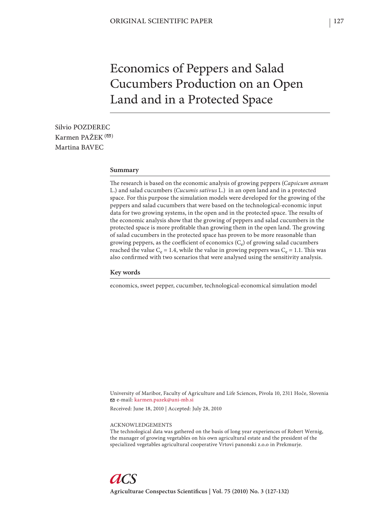# Economics of Peppers and Salad Cucumbers Production on an Open Land and in a Protected Space

Silvio POZDEREC Karmen PAŽEK $($ Martina BAVEC

# **Summary**

The research is based on the economic analysis of growing peppers (Capsicum annum L.) and salad cucumbers (*Cucumis sativus* L.) in an open land and in a protected space. For this purpose the simulation models were developed for the growing of the peppers and salad cucumbers that were based on the technological-economic input data for two growing systems, in the open and in the protected space. The results of the economic analysis show that the growing of peppers and salad cucumbers in the protected space is more profitable than growing them in the open land. The growing of salad cucumbers in the protected space has proven to be more reasonable than growing peppers, as the coefficient of economics  $(C_e)$  of growing salad cucumbers reached the value  $C_e = 1.4$ , while the value in growing peppers was  $C_e = 1.1$ . This was also confirmed with two scenarios that were analysed using the sensitivity analysis.

#### **Key words**

economics, sweet pepper, cucumber, technological-economical simulation model

University of Maribor, Faculty of Agriculture and Life Sciences, Pivola 10, 2311 Hoče, Slovenia e-mail: karmen.pazek@uni-mb.si

Received: June 18, 2010 | Accepted: July 28, 2010

#### ACKNOWLEDGEMENTS

The technological data was gathered on the basis of long year experiences of Robert Wernig, the manager of growing vegetables on his own agricultural estate and the president of the specialized vegetables agricultural cooperative Vrtovi panonski z.o.o in Prekmurje.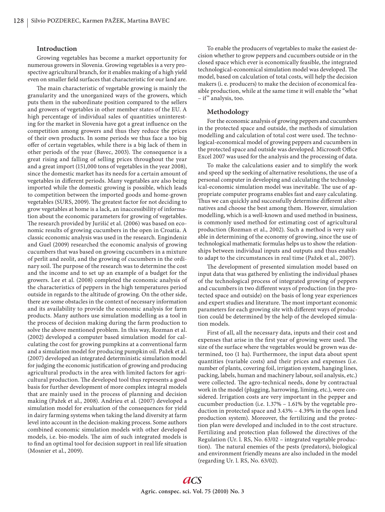# **Introduction**

Growing vegetables has become a market opportunity for numerous growers in Slovenia. Growing vegetables is a very prospective agricultural branch, for it enables making of a high yield even on smaller field surfaces that characteristic for our land are.

The main characteristic of vegetable growing is mainly the granularity and the unorganized ways of the growers, which puts them in the subordinate position compared to the sellers and growers of vegetables in other member states of the EU. A high percentage of individual sales of quantities uninteresting for the market in Slovenia have got a great influence on the competition among growers and thus they reduce the prices of their own products. In some periods we thus face a too big offer of certain vegetables, while there is a big lack of them in other periods of the year (Bavec, 2003). The consequence is a great rising and falling of selling prices throughout the year and a great import (151,000 tons of vegetables in the year 2008), since the domestic market has its needs for a certain amount of vegetables in different periods. Many vegetables are also being imported while the domestic growing is possible, which leads to competition between the imported goods and home-grown vegetables (SURS, 2009). The greatest factor for not deciding to grow vegetables at home is a lack, an inaccessibility of information about the economic parameters for growing of vegetables. The research provided by Jurišić et al. (2006) was based on economic results of growing cucumbers in the open in Croatia. A classic economic analysis was used in the research. Engindeniz and Guel (2009) researched the economic analysis of growing cucumbers that was based on growing cucumbers in a mixture of perlit and zeolit, and the growing of cucumbers in the ordinary soil. The purpose of the research was to determine the cost and the income and to set up an example of a budget for the growers. Lee et al. (2008) completed the economic analysis of the characteristics of peppers in the high temperatures period outside in regards to the altitude of growing. On the other side, there are some obstacles in the context of necessary information and its availability to provide the economic analysis for farm products. Many authors use simulation modelling as a tool in the process of decision making during the farm production to solve the above mentioned problem. In this way, Rozman et al. (2002) developed a computer based simulation model for calculating the cost for growing pumpkins at a conventional farm and a simulation model for producing pumpkin oil. Pažek et al. (2007) developed an integrated deterministic simulation model for judging the economic justification of growing and producing agricultural products in the area with limited factors for agricultural production. The developed tool thus represents a good basis for further development of more complex integral models that are mainly used in the process of planning and decision making (Pažek et al., 2008). Andrieu et al. (2007) developed a simulation model for evaluation of the consequences for yield in dairy farming systems when taking the land diversity at farm level into account in the decision-making process. Some authors combined economic simulation models with other developed models, i.e. bio-models. The aim of such integrated models is to find an optimal tool for decision support in real life situation (Mosnier et al., 2009).

To enable the producers of vegetables to make the easiest decision whether to grow peppers and cucumbers outside or in the closed space which ever is economically feasible, the integrated technological-economical simulation model was developed. The model, based on calculation of total costs, will help the decision makers (i. e. producers) to make the decision of economical feasible production, while at the same time it will enable the "what – if" analysis, too.

#### **Methodology**

For the economic analysis of growing peppers and cucumbers in the protected space and outside, the methods of simulation modelling and calculation of total cost were used. The technological-economical model of growing peppers and cucumbers in the protected space and outside was developed. Microsoft Office Excel 2007 was used for the analysis and the processing of data.

To make the calculations easier and to simplify the work and speed up the seeking of alternative resolutions, the use of a personal computer in developing and calculating the technological-economic simulation model was inevitable. The use of appropriate computer programs enables fast and easy calculating. Thus we can quickly and successfully determine different alternatives and choose the best among them. However, simulation modelling, which is a well-known and used method in business, is commonly used method for estimating cost of agricultural production (Rozman et al., 2002). Such a method is very suitable in determining of the economy of growing, since the use of technological mathematic formulas helps us to show the relationships between individual inputs and outputs and thus enables to adapt to the circumstances in real time (Pažek et al., 2007).

The development of presented simulation model based on input data that was gathered by enlisting the individual phases of the technological process of integrated growing of peppers and cucumbers in two different ways of production (in the protected space and outside) on the basis of long year experiences and expert studies and literature. The most important economic parameters for each growing site with different ways of production could be determined by the help of the developed simulation models.

First of all, all the necessary data, inputs and their cost and expenses that arise in the first year of growing were used. The size of the surface where the vegetables would be grown was determined, too (1 ha). Furthermore, the input data about spent quantities (variable costs) and their prices and expenses (i.e. number of plants, covering foil, irrigation system, hanging lines, packing, labels, human and machinery labour, soil analysis, etc.) were collected. The agro-technical needs, done by contractual work in the model (plugging, harrowing, liming, etc.), were considered. Irrigation costs are very important in the pepper and cucumber production (i.e. 1.37% – 1.61% by the vegetable production in protected space and 3.43% – 4.39% in the open land production system). Moreover, the fertilizing and the protection plan were developed and included in to the cost structure. Fertilizing and protection plan followed the directives of the Regulation (Ur. l. RS, No. 63/02 – integrated vegetable production). The natural enemies of the pests (predators), biological and environment friendly means are also included in the model (regarding Ur. l. RS, No. 63/02).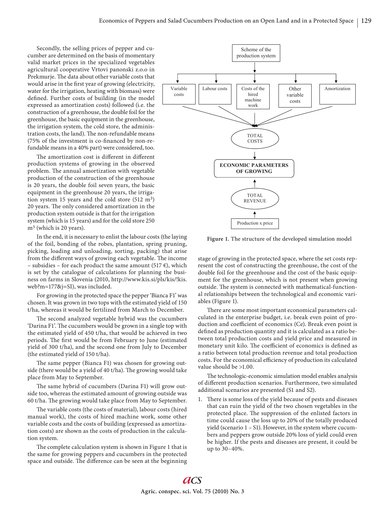Secondly, the selling prices of pepper and cucumber are determined on the basis of momentary valid market prices in the specialized vegetables agricultural cooperative Vrtovi panonski z.o.o in Prekmurje. The data about other variable costs that would arise in the first year of growing (electricity, water for the irrigation, heating with biomass) were defined. Further costs of building (in the model expressed as amortization costs) followed (i.e. the construction of a greenhouse, the double foil for the greenhouse, the basic equipment in the greenhouse, the irrigation system, the cold store, the administration costs, the land). The non-refundable means  $(75\% \text{ of the investment is co-financed by non-re-}$ fundable means in a 40% part) were considered, too.

The amortization cost is different in different production systems of growing in the observed problem. The annual amortization with vegetable production of the construction of the greenhouse is 20 years, the double foil seven years, the basic equipment in the greenhouse 20 years, the irrigation system 15 years and the cold store (512 m3) 20 years. The only considered amortization in the production system outside is that for the irrigation system (which is 15 years) and for the cold store 250 m<sup>3</sup> (which is 20 years).

In the end, it is necessary to enlist the labour costs (the laying of the foil, bonding of the robes, plantation, spring pruning, picking, loading and unloading, sorting, packing) that arise from the different ways of growing each vegetable. The income – subsidies – for each product the same amount (517  $\epsilon$ ), which is set by the catalogue of calculations for planning the business on farms in Slovenia (2010, http://www.kis.si/pls/kis/!kis. web?m=177&j=SI), was included.

For growing in the protected space the pepper 'Bianca F1' was chosen. It was grown in two tops with the estimated yield of 150 t/ha, whereas it would be fertilized from March to December.

The second analyzed vegetable hybrid was the cucumbers 'Darina F1'. The cucumbers would be grown in a single top with the estimated yield of 450 t/ha, that would be achieved in two periods. The first would be from February to June (estimated yield of 300 t/ha), and the second one from July to December (the estimated yield of 150 t/ha).

The same pepper (Bianca F1) was chosen for growing outside (there would be a yield of 40 t/ha). The growing would take place from May to September.

The same hybrid of cucumbers (Darina F1) will grow outside too, whereas the estimated amount of growing outside was 60 t/ha. The growing would take place from May to September.

The variable costs (the costs of material), labour costs (hired manual work), the costs of hired machine work, some other variable costs and the costs of building (expressed as amortization costs) are shown as the costs of production in the calculation system.

The complete calculation system is shown in Figure 1 that is the same for growing peppers and cucumbers in the protected space and outside. The difference can be seen at the beginning



**Figure 1.** The structure of the developed simulation model

stage of growing in the protected space, where the set costs represent the cost of constructing the greenhouse, the cost of the double foil for the greenhouse and the cost of the basic equipment for the greenhouse, which is not present when growing outside. The system is connected with mathematical-functional relationships between the technological and economic variables (Figure 1).

There are some most important economical parameters calculated in the enterprise budget, i.e. break even point of production and coefficient of economics (Ce). Break even point is defined as production quantity and it is calculated as a ratio between total production costs and yield price and measured in monetary unit kilo. The coefficient of economics is defined as a ratio between total production revenue and total production costs. For the economical efficiency of production its calculated value should be >1.00.

The technologic-economic simulation model enables analysis of different production scenarios. Furthermore, two simulated additional scenarios are presented (S1 and S2).

1. There is some loss of the yield because of pests and diseases that can ruin the yield of the two chosen vegetables in the protected place. The suppression of the enlisted factors in time could cause the loss up to 20% of the totally produced yield (scenario 1 – S1). However, in the system where cucumbers and peppers grow outside 20% loss of yield could even be higher. If the pests and diseases are present, it could be up to 30–40%.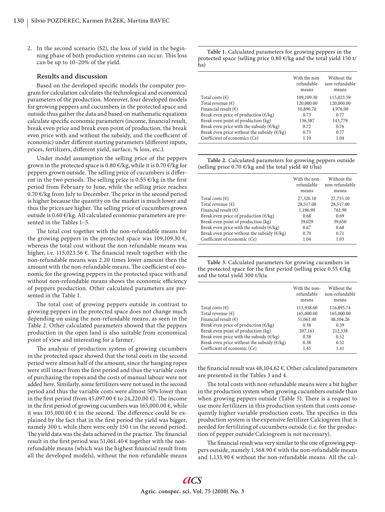2. In the second scenario (S2), the loss of yield in the beginning phase of both production systems can occur. This loss can be up to 10–20% of the yield.

#### **Results and discussion**

Based on the developed specific models the computer program for calculation calculates the technological and economical parameters of the production. Moreover, four developed models for growing peppers and cucumbers in the protected space and outside thus gather the data and based on mathematic equations calculate specific economic parameters (income, financial result, break even price and break even point of production, the break even price with and without the subsidy, and the coefficient of economic) under different starting parameters (different inputs, prices, fertilizers, different yield, surface, % loss, etc.).

Under model assumption the selling price of the peppers grown in the protected space is 0.80  $\epsilon$ /kg, while it is 0.70  $\epsilon$ /kg for peppers grown outside. The selling price of cucumbers is different in the two periods. The selling price is 0.55  $\epsilon$ /kg in the first period from February to June, while the selling price reaches  $0.70 \in$ /kg from July to December. The price in the second period is higher because the quantity on the market is much lower and thus the prices are higher. The selling price of cucumbers grown outside is 0.60 €/kg. All calculated economic parameters are presented in the Tables 1–5.

The total cost together with the non-refundable means for the growing peppers in the protected space was 109,109.30  $\epsilon$ , whereas the total cost without the non-refundable means was higher, i.e. 115,023.56  $\epsilon$ . The financial result together with the non-refundable means was 2.20 times lower amount then the amount with the non-refundable means. The coefficient of economic for the growing peppers in the protected space with and without non-refundable means shows the economic efficiency of peppers production. Other calculated parameters are presented in the Table 1.

The total cost of growing peppers outside in contrast to growing peppers in the protected space does not change much depending on using the non-refundable means, as seen in the Table 2. Other calculated parameters showed that the peppers production in the open land is also suitable from economical point of view and interesting for a farmer.

The analysis of production system of growing cucumbers in the protected space showed that the total costs in the second period were almost half of the amount, since the hanging ropes were still intact from the first period and thus the variable costs of purchasing the ropes and the costs of manual labour were not added here. Similarly, some fertilizers were not used in the second period and thus the variable costs were almost 50% lower than in the first period (from 45,097.00  $\epsilon$  to 24,220.00  $\epsilon$ ). The income in the first period of growing cucumbers was 165,000.00  $\epsilon$ , while it was 105,000.00  $\epsilon$  in the second. The difference could be explained by the fact that in the first period the yield was bigger, namely 300 t, while there were only 150 t in the second period. The yield data was the data achieved in the practice. The financial result in the first period was 51,061.40  $\epsilon$  together with the nonrefundable means (which was the highest financial result from all the developed models), without the non-refundable means

**Table 1.** Calculated parameters for growing peppers in the protected space (selling price 0.80 €/kg and the total yield 150 t/ ha)

|                                                        | With the non-<br>refundable<br>means | Without the<br>non-refundable<br>means |
|--------------------------------------------------------|--------------------------------------|----------------------------------------|
| Total costs $(\epsilon)$                               | 109,109.30                           | 115,023.59                             |
| Total revenue $(\epsilon)$                             | 120,000.00                           | 120,000.00                             |
| Financial result $(\epsilon)$                          | 10,890.70                            | 4,976.00                               |
| Break even price of production $(\epsilon / kg)$       | 0.73                                 | 0.77                                   |
| Break even point of production (kg)                    | 136,387                              | 143,779                                |
| Break even price with the subsidy $(\epsilon/kg)$      | 0.72                                 | 0.76                                   |
| Break even price without the subsidy $(\epsilon / kg)$ | 0.73                                 | 0.77                                   |
| Coefficient of economics (Ce)                          | 1.10                                 | 1.04                                   |
|                                                        |                                      |                                        |

**Table 2.** Calculated parameters for growing peppers outside (selling price 0.70 €/kg and the total yield 40 t/ha)

|                                                        | With the non-<br>refundable<br>means | Without the<br>non-refundable<br>means |
|--------------------------------------------------------|--------------------------------------|----------------------------------------|
| Total costs $(\epsilon)$                               | 27,320.10                            | 27,755.10                              |
| Total revenue $(\epsilon)$                             | 28,517.00                            | 28,517.00                              |
| Financial result $(\epsilon)$                          | 1,196.90                             | 761.90                                 |
| Break even price of production $(\epsilon/\text{kg})$  | 0.68                                 | 0.69                                   |
| Break even point of production (kg)                    | 39,029                               | 39,650                                 |
| Break even price with the subsidy ( $\epsilon$ /kg)    | 0.67                                 | 0.68                                   |
| Break even price without the subsidy $(\epsilon / kg)$ | 0.70                                 | 0.71                                   |
| Coefficient of economic (Ce)                           | 1.04                                 | 1.03                                   |

**Table 3.** Calculated parameters for growing cucumbers in the protected space for the first period (selling price 0.55  $\varepsilon$ /kg and the total yield 300 t/h)a

|                                                        | With the non-<br>refundable<br>means | Without the<br>non-refundable<br>means |
|--------------------------------------------------------|--------------------------------------|----------------------------------------|
| Total costs $(\epsilon)$                               | 113,938.60                           | 116,895.74                             |
| Total revenue $(\epsilon)$                             | 165,000.00                           | 165,000.00                             |
| Financial result $(\epsilon)$                          | 51,061.40                            | 48,104.26                              |
| Break even price of production $(\epsilon / kg)$       | 0.38                                 | 0.39                                   |
| Break even point of production (kg)                    | 207,161                              | 212,538                                |
| Break even price with the subsidy $(\epsilon/kg)$      | 0.38                                 | 0.52                                   |
| Break even price without the subsidy $(\epsilon / kg)$ | 0.38                                 | 0.52                                   |
| Coefficient of economic (Ce)                           | 1.45                                 | 1.41                                   |

the financial result was 48,104.62 €. Other calculated parameters are presented in the Tables 3 and 4.

The total costs with non-refundable means were a bit higher in the production system when growing cucumbers outside than when growing peppers outside (Table 5). There is a request to use more fertilizers in this production system that costs consequently higher variable production costs. The specifics in this production system is the expensive fertilizer Calciogreen that is needed for fertilizing of cucumbers outside (i.e. for the production of pepper outside Calciogreen is not necessary).

The financial result was very similar to the one of growing peppers outside, namely 1,568.90  $\epsilon$  with the non-refundable means and 1,133.90 € without the non-refundable means. All the cal-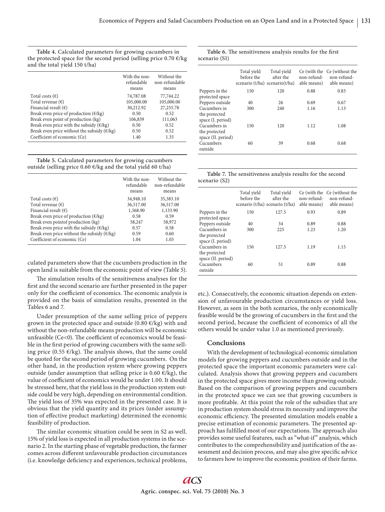**Table 4.** Calculated parameters for growing cucumbers in the protected space for the second period (selling price  $0.70 \text{ } \epsilon$ /kg and the total yield 150 t/ha)

|                                                      | With the non-<br>refundable<br>means | Without the<br>non-refundable<br>means |
|------------------------------------------------------|--------------------------------------|----------------------------------------|
| Total costs $(\epsilon)$                             | 74,787.08                            | 77,744.22                              |
| Total revenue $(\epsilon)$                           | 105,000.00                           | 105,000.00                             |
| Financial result $(\epsilon)$                        | 30,212.92                            | 27,255.78                              |
| Break even price of production $(\epsilon / kg)$     | 0.50                                 | 0.52                                   |
| Break even point of production (kg)                  | 106,839                              | 111,063                                |
| Break even price with the subsidy ( $\epsilon$ /kg)  | 0.50                                 | 0.52                                   |
| Break even price without the subsidy $(\epsilon/kg)$ | 0.50                                 | 0.52                                   |
| Coefficient of economic (Ce)                         | 1.40                                 | 1.35                                   |

**Table 5.** Calculated parameters for growing cucumbers outside (selling price 0.60  $\epsilon$ /kg and the total yield 60 t/ha)

|                                                        | With the non-<br>refundable<br>means | Without the<br>non-refundable<br>means |
|--------------------------------------------------------|--------------------------------------|----------------------------------------|
| Total costs $(\epsilon)$                               | 34,948.10                            | 35,383.10                              |
| Total revenue $(\epsilon)$                             | 36,517.00                            | 36,517.00                              |
| Financial result $(\epsilon)$                          | 1,568.90                             | 1,133.90                               |
| Break even price of production $(\epsilon / kg)$       | 0.58                                 | 0.59                                   |
| Break even point of production (kg)                    | 58,247                               | 58,972                                 |
| Break even price with the subsidy ( $\epsilon$ /kg)    | 0.57                                 | 0.58                                   |
| Break even price without the subsidy $(\epsilon / kg)$ | 0.59                                 | 0.60                                   |
| Coefficient of economic (Ce)                           | 1.04                                 | 1.03                                   |

culated parameters show that the cucumbers production in the open land is suitable from the economic point of view (Table 5).

The simulation results of the sensitiveness analyses for the first and the second scenario are further presented in the paper only for the coefficient of economics. The economic analysis is provided on the basis of simulation results, presented in the Tables 6 and 7.

Under presumption of the same selling price of peppers grown in the protected space and outside (0.80  $\epsilon$ /kg) with and without the non-refundable means production will be economic unfeasible ( $Ce<0$ ). The coefficient of economics would be feasible in the first period of growing cucumbers with the same selling price (0.55  $\varepsilon$ /kg). The analysis shows, that the same could be quoted for the second period of growing cucumbers. On the other hand, in the production system where growing peppers outside (under assumption that selling price is 0.60  $E/kg$ ), the value of coefficient of economics would be under 1.00. It should be stressed here, that the yield loss in the production system outside could be very high, depending on environmental condition. The yield loss of 35% was expected in the presented case. It is obvious that the yield quantity and its prices (under assumption of effective product marketing) determined the economic feasibility of production.

The similar economic situation could be seen in S2 as well. 15% of yield loss is expected in all production systems in the scenario 2. In the starting phase of vegetable production, the farmer comes across different unfavourable production circumstances (i.e. knowledge deficiency and experiences, technical problems,

#### Table 6. The sensitiveness analysis results for the first scenario (S1)

|                                     | Total yield<br>before the<br>scenario (t/ha) scenario $(t/ha)$ | Total yield<br>after the | non-refund-<br>able means) | Ce (with the Ce (without the<br>non-refund-<br>able means) |
|-------------------------------------|----------------------------------------------------------------|--------------------------|----------------------------|------------------------------------------------------------|
| Peppers in the                      | 150                                                            | 120                      | 0.88                       | 0.83                                                       |
| protected space                     |                                                                |                          |                            |                                                            |
| Peppers outside                     | 40                                                             | 26                       | 0.69                       | 0.67                                                       |
| Cucumbers in                        | 300                                                            | 240                      | 1.16                       | 1.13                                                       |
| the protected<br>space (I. period)  |                                                                |                          |                            |                                                            |
| Cucumbers in                        | 150                                                            | 120                      | 1.12                       | 1.08                                                       |
| the protected<br>space (II. period) |                                                                |                          |                            |                                                            |
| Cucumbers                           | 60                                                             | 39                       | 0.68                       | 0.68                                                       |
| outside                             |                                                                |                          |                            |                                                            |
|                                     |                                                                |                          |                            |                                                            |

Table 7. The sensitiveness analysis results for the second scenario (S2)

|                                                     | Total yield<br>before the | Total yield<br>after the<br>scenario (t/ha) scenario (t/ha) | non-refund-<br>able means) | Ce (with the Ce (without the<br>non-refund-<br>able means) |
|-----------------------------------------------------|---------------------------|-------------------------------------------------------------|----------------------------|------------------------------------------------------------|
| Peppers in the<br>protected space                   | 150                       | 127.5                                                       | 0.93                       | 0.89                                                       |
| Peppers outside                                     | 40                        | 34                                                          | 0.89                       | 0.88                                                       |
| Cucumbers in<br>the protected<br>space (I. period)  | 300                       | 225                                                         | 1.23                       | 1.20                                                       |
| Cucumbers in<br>the protected<br>space (II. period) | 150                       | 127.5                                                       | 1.19                       | 1.15                                                       |
| Cucumbers<br>outside                                | 60                        | 51                                                          | 0.89                       | 0.88                                                       |

etc.). Consecutively, the economic situation depends on extension of unfavourable production circumstances or yield loss. However, as seen in the both scenarios, the only economically feasible would be the growing of cucumbers in the first and the second period, because the coefficient of economics of all the others would be under value 1.0 as mentioned previously.

## **Conclusions**

With the development of technological-economic simulation models for growing peppers and cucumbers outside and in the protected space the important economic parameters were calculated. Analysis shows that growing peppers and cucumbers in the protected space gives more income than growing outside. Based on the comparison of growing peppers and cucumbers in the protected space we can see that growing cucumbers is more profitable. At this point the role of the subsidies that are in production system should stress its necessity and improve the economic efficiency. The presented simulation models enable a precise estimation of economic parameters. The presented approach has fulfilled most of our expectations. The approach also provides some useful features, such as "what-if" analysis, which contributes to the comprehensibility and justification of the assessment and decision process, and may also give specific advice to farmers how to improve the economic position of their farms.